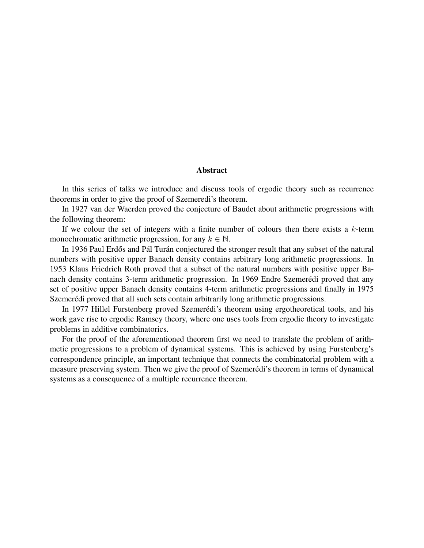## Abstract

In this series of talks we introduce and discuss tools of ergodic theory such as recurrence theorems in order to give the proof of Szemeredi's theorem.

In 1927 van der Waerden proved the conjecture of Baudet about arithmetic progressions with the following theorem:

If we colour the set of integers with a finite number of colours then there exists a  $k$ -term monochromatic arithmetic progression, for any  $k \in \mathbb{N}$ .

In 1936 Paul Erdős and Pál Turán conjectured the stronger result that any subset of the natural numbers with positive upper Banach density contains arbitrary long arithmetic progressions. In 1953 Klaus Friedrich Roth proved that a subset of the natural numbers with positive upper Banach density contains 3-term arithmetic progression. In 1969 Endre Szemerédi proved that any set of positive upper Banach density contains 4-term arithmetic progressions and finally in 1975 Szemerédi proved that all such sets contain arbitrarily long arithmetic progressions.

In 1977 Hillel Furstenberg proved Szemerédi's theorem using ergotheoretical tools, and his work gave rise to ergodic Ramsey theory, where one uses tools from ergodic theory to investigate problems in additive combinatorics.

For the proof of the aforementioned theorem first we need to translate the problem of arithmetic progressions to a problem of dynamical systems. This is achieved by using Furstenberg's correspondence principle, an important technique that connects the combinatorial problem with a measure preserving system. Then we give the proof of Szemerédi's theorem in terms of dynamical systems as a consequence of a multiple recurrence theorem.